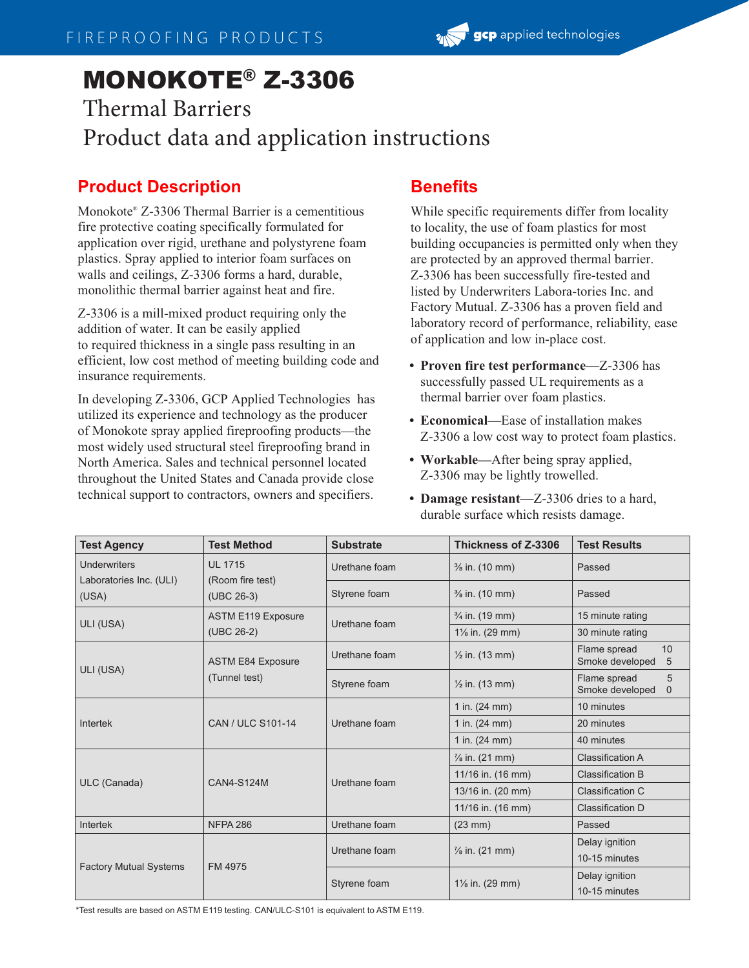# MONOKOTE® Z-3306

## Thermal Barriers Product data and application instructions

#### **Product Description**

Monokote® Z-3306 Thermal Barrier is a cementitious fire protective coating specifically formulated for application over rigid, urethane and polystyrene foam plastics. Spray applied to interior foam surfaces on walls and ceilings, Z-3306 forms a hard, durable, monolithic thermal barrier against heat and fire.

Z-3306 is a mill-mixed product requiring only the addition of water. It can be easily applied to required thickness in a single pass resulting in an efficient, low cost method of meeting building code and insurance requirements.

In developing Z-3306, GCP Applied Technologies has utilized its experience and technology as the producer of Monokote spray applied fireproofing products—the most widely used structural steel fireproofing brand in North America. Sales and technical personnel located throughout the United States and Canada provide close technical support to contractors, owners and specifiers.

#### **Benefits**

While specific requirements differ from locality to locality, the use of foam plastics for most building occupancies is permitted only when they are protected by an approved thermal barrier. Z-3306 has been successfully fire-tested and listed by Underwriters Labora-tories Inc. and Factory Mutual. Z-3306 has a proven field and laboratory record of performance, reliability, ease of application and low in-place cost.

- **Proven fire test performance—**Z-3306 has successfully passed UL requirements as a thermal barrier over foam plastics.
- **Economical—**Ease of installation makes Z-3306 a low cost way to protect foam plastics.
- **Workable—**After being spray applied, Z-3306 may be lightly trowelled.
- **Damage resistant—**Z-3306 dries to a hard, durable surface which resists damage.

| <b>Test Agency</b>                             | <b>Test Method</b>                               | <b>Substrate</b> | Thickness of Z-3306        | <b>Test Results</b>                              |
|------------------------------------------------|--------------------------------------------------|------------------|----------------------------|--------------------------------------------------|
| <b>Underwriters</b><br>Laboratories Inc. (ULI) | <b>UL 1715</b><br>(Room fire test)<br>(UBC 26-3) | Urethane foam    | $\frac{3}{8}$ in. (10 mm)  | Passed                                           |
| (USA)                                          |                                                  | Styrene foam     | $\frac{3}{8}$ in. (10 mm)  | Passed                                           |
| ULI (USA)                                      | <b>ASTM E119 Exposure</b><br>(UBC 26-2)          | Urethane foam    | $\frac{3}{4}$ in. (19 mm)  | 15 minute rating                                 |
|                                                |                                                  |                  | 1% in. (29 mm)             | 30 minute rating                                 |
| ULI (USA)                                      | <b>ASTM E84 Exposure</b><br>(Tunnel test)        | Urethane foam    | $\frac{1}{2}$ in. (13 mm)  | 10<br>Flame spread<br>Smoke developed<br>5       |
|                                                |                                                  | Styrene foam     | $\frac{1}{2}$ in. (13 mm)  | Flame spread<br>5<br>Smoke developed<br>$\Omega$ |
| Intertek                                       | CAN / ULC S101-14                                | Urethane foam    | 1 in. $(24 \text{ mm})$    | 10 minutes                                       |
|                                                |                                                  |                  | 1 in. (24 mm)              | 20 minutes                                       |
|                                                |                                                  |                  | 1 in. $(24 \, \text{mm})$  | 40 minutes                                       |
| ULC (Canada)                                   | <b>CAN4-S124M</b>                                | Urethane foam    | $\frac{7}{8}$ in. (21 mm)  | <b>Classification A</b>                          |
|                                                |                                                  |                  | 11/16 in. (16 mm)          | <b>Classification B</b>                          |
|                                                |                                                  |                  | 13/16 in. (20 mm)          | Classification C                                 |
|                                                |                                                  |                  | 11/16 in. (16 mm)          | Classification D                                 |
| Intertek                                       | <b>NFPA 286</b>                                  | Urethane foam    | $(23$ mm $)$               | Passed                                           |
| <b>Factory Mutual Systems</b>                  | FM 4975                                          | Urethane foam    | $\frac{7}{8}$ in. (21 mm)  | Delay ignition                                   |
|                                                |                                                  |                  |                            | 10-15 minutes                                    |
|                                                |                                                  | Styrene foam     | $1\frac{1}{8}$ in. (29 mm) | Delay ignition                                   |
|                                                |                                                  |                  |                            | 10-15 minutes                                    |

\*Test results are based on ASTM E119 testing. CAN/ULC-S101 is equivalent to ASTM E119.